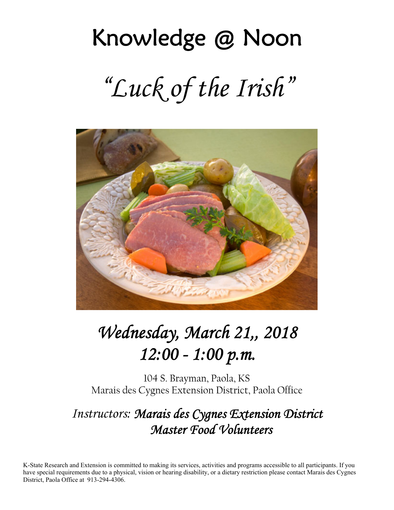# Knowledge @ Noon *"Luck of the Irish"*



## *Wednesday, March 21,, 2018 12:00 - 1:00 p.m.*

104 S. Brayman, Paola, KS Marais des Cygnes Extension District, Paola Office

## *Instructors: Marais des Cygnes Extension District Master Food Volunteers*

K-State Research and Extension is committed to making its services, activities and programs accessible to all participants. If you have special requirements due to a physical, vision or hearing disability, or a dietary restriction please contact Marais des Cygnes District, Paola Office at 913-294-4306.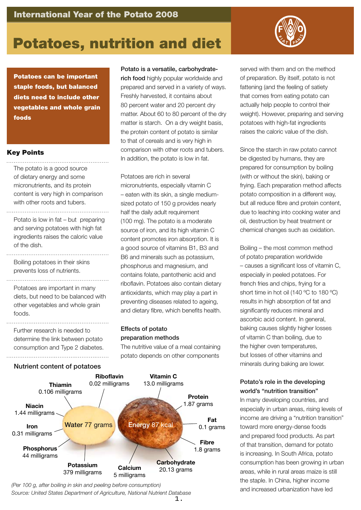

## Potatoes, nutrition and diet

Potatoes can be important staple foods, but balanced diets need to include other vegetables and whole grain foods

#### Key Points

The potato is a good source of dietary energy and some micronutrients, and its protein content is very high in comparison with other roots and tubers.

Potato is low in fat – but preparing and serving potatoes with high fat ingredients raises the caloric value of the dish.

Boiling potatoes in their skins prevents loss of nutrients.

Potatoes are important in many diets, but need to be balanced with other vegetables and whole grain foods.

Further research is needed to determine the link between potato consumption and Type 2 diabetes. 

#### Nutrient content of potatoes



rich food highly popular worldwide and prepared and served in a variety of ways. Freshly harvested, it contains about 80 percent water and 20 percent dry matter. About 60 to 80 percent of the dry matter is starch. On a dry weight basis, the protein content of potato is similar to that of cereals and is very high in comparison with other roots and tubers. In addition, the potato is low in fat.

Potatoes are rich in several micronutrients, especially vitamin C – eaten with its skin, a single mediumsized potato of 150 g provides nearly half the daily adult requirement (100 mg). The potato is a moderate source of iron, and its high vitamin C content promotes iron absorption. It is a good source of vitamins B1, B3 and B6 and minerals such as potassium, phosphorus and magnesium, and contains folate, pantothenic acid and riboflavin. Potatoes also contain dietary antioxidants, which may play a part in preventing diseases related to ageing, and dietary fibre, which benefits health.

#### Effects of potato preparation methods

The nutritive value of a meal containing potato depends on other components



*(Per 100 g, after boiling in skin and peeling before consumption) Source: United States Department of Agriculture, National Nutrient Database* served with them and on the method of preparation. By itself, potato is not fattening (and the feeling of satiety that comes from eating potato can actually help people to control their weight). However, preparing and serving potatoes with high-fat ingredients raises the caloric value of the dish.

Since the starch in raw potato cannot be digested by humans, they are prepared for consumption by boiling (with or without the skin), baking or frying. Each preparation method affects potato composition in a different way, but all reduce fibre and protein content, due to leaching into cooking water and oil, destruction by heat treatment or chemical changes such as oxidation.

Boiling – the most common method of potato preparation worldwide – causes a significant loss of vitamin C, especially in peeled potatoes. For french fries and chips, frying for a short time in hot oil (140 °C to 180 °C) results in high absorption of fat and significantly reduces mineral and ascorbic acid content. In general, baking causes slightly higher losses of vitamin C than boiling, due to the higher oven temperatures, but losses of other vitamins and minerals during baking are lower.

#### Potato's role in the developing world's "nutrition transition"

In many developing countries, and especially in urban areas, rising levels of income are driving a "nutrition transition" toward more energy-dense foods and prepared food products. As part of that transition, demand for potato is increasing. In South Africa, potato consumption has been growing in urban areas, while in rural areas maize is still the staple. In China, higher income and increased urbanization have led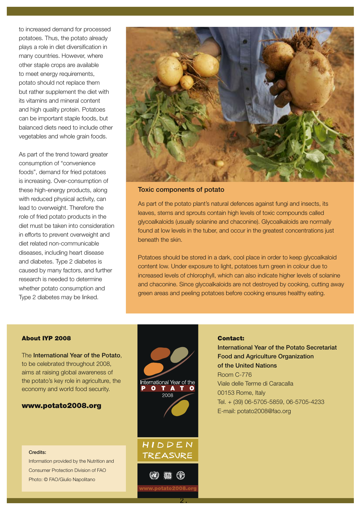to increased demand for processed potatoes. Thus, the potato already plays a role in diet diversification in many countries. However, where other staple crops are available to meet energy requirements, potato should not replace them but rather supplement the diet with its vitamins and mineral content and high quality protein. Potatoes can be important staple foods, but balanced diets need to include other vegetables and whole grain foods.

As part of the trend toward greater consumption of "convenience foods", demand for fried potatoes is increasing. Over-consumption of these high-energy products, along with reduced physical activity, can lead to overweight. Therefore the role of fried potato products in the diet must be taken into consideration in efforts to prevent overweight and diet related non-communicable diseases, including heart disease and diabetes. Type 2 diabetes is caused by many factors, and further research is needed to determine whether potato consumption and Type 2 diabetes may be linked.



Toxic components of potato

As part of the potato plant's natural defences against fungi and insects, its leaves, stems and sprouts contain high levels of toxic compounds called glycoalkaloids (usually solanine and chaconine). Glycoalkaloids are normally found at low levels in the tuber, and occur in the greatest concentrations just beneath the skin.

Potatoes should be stored in a dark, cool place in order to keep glycoalkaloid content low. Under exposure to light, potatoes turn green in colour due to increased levels of chlorophyll, which can also indicate higher levels of solanine and chaconine. Since glycoalkaloids are not destroyed by cooking, cutting away green areas and peeling potatoes before cooking ensures healthy eating.

#### About IYP 2008

The International Year of the Potato. to be celebrated throughout 2008, aims at raising global awareness of the potato's key role in agriculture, the economy and world food security.

#### www.potato2008.org

#### Credits:

Information provided by the Nutrition and Consumer Protection Division of FAO Photo: © FAO/Giulio Napolitano

# International Year of the  $\bullet$ 2008 HIDDEN **TREASURE**

#### Contact:

International Year of the Potato Secretariat Food and Agriculture Organization of the United Nations Room C-776 Viale delle Terme di Caracalla 00153 Rome, Italy Tel. + (39) 06-5705-5859, 06-5705-4233 E-mail: potato2008@fao.org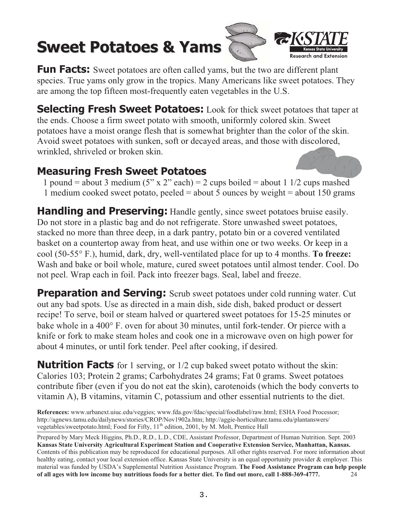## **Sweet Potatoes & Yams**



**Fun Facts:** Sweet potatoes are often called yams, but the two are different plant species. True yams only grow in the tropics. Many Americans like sweet potatoes. They are among the top fifteen most-frequently eaten vegetables in the U.S.

**Selecting Fresh Sweet Potatoes:** Look for thick sweet potatoes that taper at the ends. Choose a firm sweet potato with smooth, uniformly colored skin. Sweet potatoes have a moist orange flesh that is somewhat brighter than the color of the skin. Avoid sweet potatoes with sunken, soft or decayed areas, and those with discolored, wrinkled, shriveled or broken skin.

### **Measuring Fresh Sweet Potatoes**



1 pound = about 3 medium (5" x 2" each) = 2 cups boiled = about 1 1/2 cups mashed 1 medium cooked sweet potato, peeled = about 5 ounces by weight = about 150 grams

**Handling and Preserving:** Handle gently, since sweet potatoes bruise easily. Do not store in a plastic bag and do not refrigerate. Store unwashed sweet potatoes, stacked no more than three deep, in a dark pantry, potato bin or a covered ventilated basket on a countertop away from heat, and use within one or two weeks. Or keep in a cool (50-55° F.), humid, dark, dry, well-ventilated place for up to 4 months. To freeze: Wash and bake or boil whole, mature, cured sweet potatoes until almost tender. Cool. Do not peel. Wrap each in foil. Pack into freezer bags. Seal, label and freeze.

**Preparation and Serving:** Scrub sweet potatoes under cold running water. Cut out any bad spots. Use as directed in a main dish, side dish, baked product or dessert recipe! To serve, boil or steam halved or quartered sweet potatoes for 15-25 minutes or bake whole in a 400° F, oven for about 30 minutes, until fork-tender. Or pierce with a knife or fork to make steam holes and cook one in a microwave oven on high power for about 4 minutes, or until fork tender. Peel after cooking, if desired.

**Nutrition Facts** for 1 serving, or 1/2 cup baked sweet potato without the skin: Calories 103; Protein 2 grams; Carbohydrates 24 grams; Fat 0 grams. Sweet potatoes contribute fiber (even if you do not eat the skin), carotenoids (which the body converts to vitamin A), B vitamins, vitamin C, potassium and other essential nutrients to the diet.

References: www.urbanext.uiuc.edu/veggies; www.fda.gov/fdac/special/foodlabel/raw.html; ESHA Food Processor; http://agnews.tamu.edu/dailynews/stories/CROP/Nov1902a.htm; http://aggie-horticulture.tamu.edu/plantanswers/ vegetables/sweetpotato.html; Food for Fifty, 11<sup>th</sup> edition, 2001, by M. Molt, Prentice Hall

Prepared by Mary Meck Higgins, Ph.D., R.D., L.D., CDE, Assistant Professor, Department of Human Nutrition. Sept. 2003 Kansas State University Agricultural Experiment Station and Cooperative Extension Service, Manhattan, Kansas. Contents of this publication may be reproduced for educational purposes. All other rights reserved. For more information about healthy eating, contact your local extension office. Kansas State University is an equal opportunity provider & employer. This material was funded by USDA's Supplemental Nutrition Assistance Program. The Food Assistance Program can help people of all ages with low income buy nutritious foods for a better diet. To find out more, call 1-888-369-4777. 24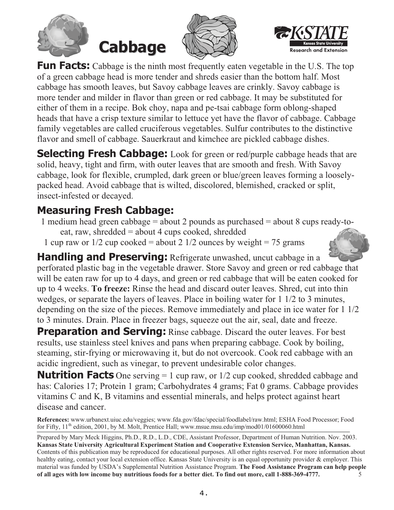







**Fun Facts:** Cabbage is the ninth most frequently eaten vegetable in the U.S. The top of a green cabbage head is more tender and shreds easier than the bottom half. Most cabbage has smooth leaves, but Savoy cabbage leaves are crinkly. Savoy cabbage is more tender and milder in flavor than green or red cabbage. It may be substituted for either of them in a recipe. Bok choy, napa and pe-tsai cabbage form oblong-shaped heads that have a crisp texture similar to lettuce yet have the flavor of cabbage. Cabbage family vegetables are called cruciferous vegetables. Sulfur contributes to the distinctive flavor and smell of cabbage. Sauerkraut and kimchee are pickled cabbage dishes.

**Selecting Fresh Cabbage:** Look for green or red/purple cabbage heads that are solid, heavy, tight and firm, with outer leaves that are smooth and fresh. With Savoy cabbage, look for flexible, crumpled, dark green or blue/green leaves forming a looselypacked head. Avoid cabbage that is wilted, discolored, blemished, cracked or split, insect-infested or decayed.

### **Measuring Fresh Cabbage:**

- 1 medium head green cabbage = about 2 pounds as purchased = about 8 cups ready-toeat, raw, shredded = about 4 cups cooked, shredded
- 1 cup raw or  $1/2$  cup cooked = about 2  $1/2$  ounces by weight = 75 grams

**Handling and Preserving:** Refrigerate unwashed, uncut cabbage in a perforated plastic bag in the vegetable drawer. Store Savoy and green or red cabbage that will be eaten raw for up to 4 days, and green or red cabbage that will be eaten cooked for up to 4 weeks. To freeze: Rinse the head and discard outer leaves. Shred, cut into thin wedges, or separate the layers of leaves. Place in boiling water for 1 1/2 to 3 minutes, depending on the size of the pieces. Remove immediately and place in ice water for 1 1/2 to 3 minutes. Drain. Place in freezer bags, squeeze out the air, seal, date and freeze.

**Preparation and Serving:** Rinse cabbage. Discard the outer leaves. For best results, use stainless steel knives and pans when preparing cabbage. Cook by boiling, steaming, stir-frying or microwaving it, but do not overcook. Cook red cabbage with an acidic ingredient, such as vinegar, to prevent undesirable color changes.

**Nutrition Facts** One serving  $= 1$  cup raw, or  $1/2$  cup cooked, shredded cabbage and has: Calories 17; Protein 1 gram; Carbohydrates 4 grams; Fat 0 grams. Cabbage provides vitamins C and K, B vitamins and essential minerals, and helps protect against heart disease and cancer.

References: www.urbanext.uiuc.edu/veggies; www.fda.gov/fdac/special/foodlabel/raw.html; ESHA Food Processor; Food for Fifty,  $11^{\text{th}}$  edition, 2001, by M. Molt, Prentice Hall; www.msue.msu.edu/imp/mod01/01600060.html

Prepared by Mary Meck Higgins, Ph.D., R.D., L.D., CDE, Assistant Professor, Department of Human Nutrition. Nov. 2003. Kansas State University Agricultural Experiment Station and Cooperative Extension Service, Manhattan, Kansas. Contents of this publication may be reproduced for educational purposes. All other rights reserved. For more information about healthy eating, contact your local extension office. Kansas State University is an equal opportunity provider & employer. This material was funded by USDA's Supplemental Nutrition Assistance Program. The Food Assistance Program can help people of all ages with low income buy nutritious foods for a better diet. To find out more, call 1-888-369-4777. 5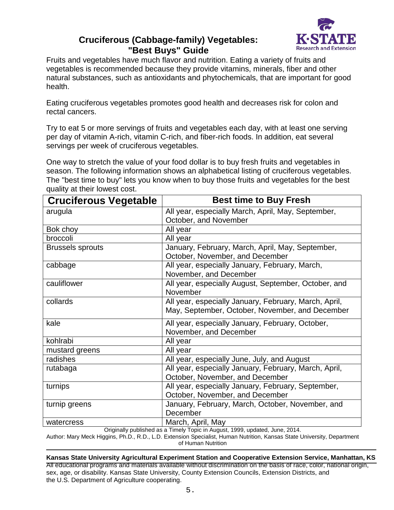#### **Cruciferous (Cabbage-family) Vegetables: "Best Buys" Guide**



Fruits and vegetables have much flavor and nutrition. Eating a variety of fruits and vegetables is recommended because they provide vitamins, minerals, fiber and other natural substances, such as antioxidants and phytochemicals, that are important for good health.

Eating cruciferous vegetables promotes good health and decreases risk for colon and rectal cancers.

Try to eat 5 or more servings of fruits and vegetables each day, with at least one serving per day of vitamin A-rich, vitamin C-rich, and fiber-rich foods. In addition, eat several servings per week of cruciferous vegetables.

One way to stretch the value of your food dollar is to buy fresh fruits and vegetables in season. The following information shows an alphabetical listing of cruciferous vegetables. The "best time to buy" lets you know when to buy those fruits and vegetables for the best quality at their lowest cost.

| <b>Cruciferous Vegetable</b> | <b>Best time to Buy Fresh</b>                                                       |
|------------------------------|-------------------------------------------------------------------------------------|
| arugula                      | All year, especially March, April, May, September,                                  |
|                              | October, and November                                                               |
| Bok choy                     | All year                                                                            |
| broccoli                     | All year                                                                            |
| <b>Brussels sprouts</b>      | January, February, March, April, May, September,<br>October, November, and December |
| cabbage                      | All year, especially January, February, March,                                      |
|                              | November, and December                                                              |
| cauliflower                  | All year, especially August, September, October, and                                |
|                              | November                                                                            |
| collards                     | All year, especially January, February, March, April,                               |
|                              | May, September, October, November, and December                                     |
| kale                         | All year, especially January, February, October,                                    |
|                              | November, and December                                                              |
| kohlrabi                     | All year                                                                            |
| mustard greens               | All year                                                                            |
| radishes                     | All year, especially June, July, and August                                         |
| rutabaga                     | All year, especially January, February, March, April,                               |
|                              | October, November, and December                                                     |
| turnips                      | All year, especially January, February, September,                                  |
|                              | October, November, and December                                                     |
| turnip greens                | January, February, March, October, November, and                                    |
|                              | December                                                                            |
| watercress                   | March, April, May                                                                   |

Originally published as a Timely Topic in August, 1999, updated, June, 2014.

Author: Mary Meck Higgins, Ph.D., R.D., L.D. Extension Specialist, Human Nutrition, Kansas State University, Department of Human Nutrition

**Kansas State University Agricultural Experiment Station and Cooperative Extension Service, Manhattan, KS** All educational programs and materials available without discrimination on the basis of race, color, national origin, sex, age, or disability. Kansas State University, County Extension Councils, Extension Districts, and the U.S. Department of Agriculture cooperating.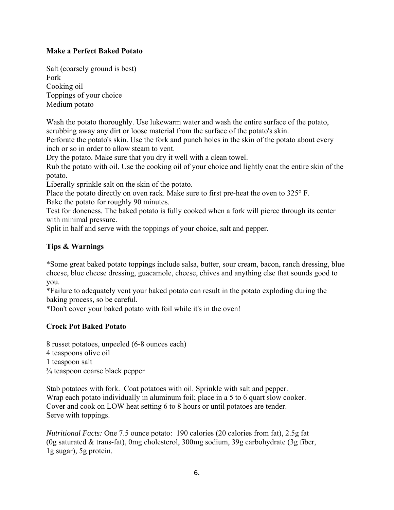#### **Make a Perfect Baked Potato**

Salt (coarsely ground is best) Fork Cooking oil Toppings of your choice Medium potato

Wash the potato thoroughly. Use lukewarm water and wash the entire surface of the potato, scrubbing away any dirt or loose material from the surface of the potato's skin.

Perforate the potato's skin. Use the fork and punch holes in the skin of the potato about every inch or so in order to allow steam to vent.

Dry the potato. Make sure that you dry it well with a clean towel.

Rub the potato with oil. Use the cooking oil of your choice and lightly coat the entire skin of the potato.

Liberally sprinkle salt on the skin of the potato.

Place the potato directly on oven rack. Make sure to first pre-heat the oven to 325° F.

Bake the potato for roughly 90 minutes.

Test for doneness. The baked potato is fully cooked when a fork will pierce through its center with minimal pressure.

Split in half and serve with the toppings of your choice, salt and pepper.

#### **Tips & Warnings**

\*Some great baked potato toppings include salsa, butter, sour cream, bacon, ranch dressing, blue cheese, blue cheese dressing, guacamole, cheese, chives and anything else that sounds good to you.

\*Failure to adequately vent your baked potato can result in the potato exploding during the baking process, so be careful.

\*Don't cover your baked potato with foil while it's in the oven!

#### **Crock Pot Baked Potato**

8 russet potatoes, unpeeled (6-8 ounces each)

4 teaspoons olive oil

- 1 teaspoon salt
- ¾ teaspoon coarse black pepper

Stab potatoes with fork. Coat potatoes with oil. Sprinkle with salt and pepper. Wrap each potato individually in aluminum foil; place in a 5 to 6 quart slow cooker. Cover and cook on LOW heat setting 6 to 8 hours or until potatoes are tender. Serve with toppings.

*Nutritional Facts:* One 7.5 ounce potato: 190 calories (20 calories from fat), 2.5g fat (0g saturated & trans-fat), 0mg cholesterol, 300mg sodium, 39g carbohydrate (3g fiber, 1g sugar), 5g protein.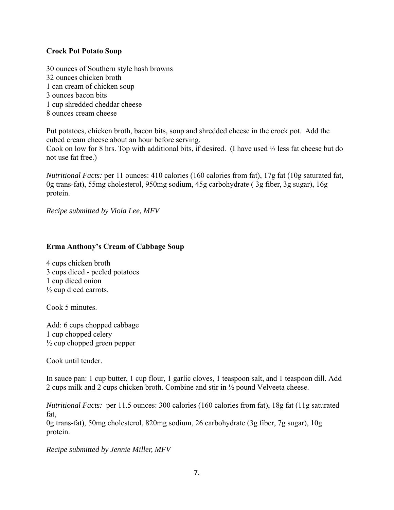#### **Crock Pot Potato Soup**

30 ounces of Southern style hash browns 32 ounces chicken broth 1 can cream of chicken soup 3 ounces bacon bits 1 cup shredded cheddar cheese 8 ounces cream cheese

Put potatoes, chicken broth, bacon bits, soup and shredded cheese in the crock pot. Add the cubed cream cheese about an hour before serving.

Cook on low for 8 hrs. Top with additional bits, if desired. (I have used ⅓ less fat cheese but do not use fat free.)

*Nutritional Facts:* per 11 ounces: 410 calories (160 calories from fat), 17g fat (10g saturated fat, 0g trans-fat), 55mg cholesterol, 950mg sodium, 45g carbohydrate ( 3g fiber, 3g sugar), 16g protein.

*Recipe submitted by Viola Lee, MFV* 

#### **Erma Anthony's Cream of Cabbage Soup**

4 cups chicken broth 3 cups diced - peeled potatoes 1 cup diced onion  $\frac{1}{2}$  cup diced carrots.

Cook 5 minutes.

Add: 6 cups chopped cabbage 1 cup chopped celery  $\frac{1}{2}$  cup chopped green pepper

Cook until tender.

In sauce pan: 1 cup butter, 1 cup flour, 1 garlic cloves, 1 teaspoon salt, and 1 teaspoon dill. Add 2 cups milk and 2 cups chicken broth. Combine and stir in ½ pound Velveeta cheese.

*Nutritional Facts:* per 11.5 ounces: 300 calories (160 calories from fat), 18g fat (11g saturated fat,

0g trans-fat), 50mg cholesterol, 820mg sodium, 26 carbohydrate (3g fiber, 7g sugar), 10g protein.

*Recipe submitted by Jennie Miller, MFV*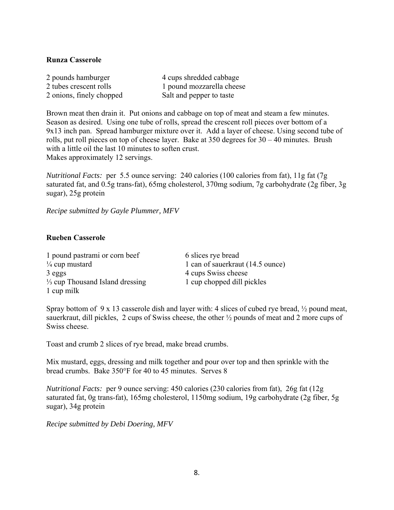#### **Runza Casserole**

| 2 pounds hamburger       | 4 cups shredded cabbage   |
|--------------------------|---------------------------|
| 2 tubes crescent rolls   | 1 pound mozzarella cheese |
| 2 onions, finely chopped | Salt and pepper to taste  |

Brown meat then drain it. Put onions and cabbage on top of meat and steam a few minutes. Season as desired. Using one tube of rolls, spread the crescent roll pieces over bottom of a 9x13 inch pan. Spread hamburger mixture over it. Add a layer of cheese. Using second tube of rolls, put roll pieces on top of cheese layer. Bake at 350 degrees for 30 – 40 minutes. Brush with a little oil the last 10 minutes to soften crust. Makes approximately 12 servings.

*Nutritional Facts:* per 5.5 ounce serving: 240 calories (100 calories from fat), 11g fat (7g saturated fat, and 0.5g trans-fat), 65mg cholesterol, 370mg sodium, 7g carbohydrate (2g fiber, 3g sugar), 25g protein

*Recipe submitted by Gayle Plummer, MFV* 

#### **Rueben Casserole**

| 1 pound pastrami or corn beef              |
|--------------------------------------------|
| $\frac{1}{4}$ cup mustard                  |
| 3 eggs                                     |
| $\frac{1}{3}$ cup Thousand Island dressing |
| 1 cup milk                                 |

6 slices rye bread 1 can of sauerkraut (14.5 ounce) 4 cups Swiss cheese 1 cup chopped dill pickles

Spray bottom of 9 x 13 casserole dish and layer with: 4 slices of cubed rye bread, ½ pound meat, sauerkraut, dill pickles, 2 cups of Swiss cheese, the other ½ pounds of meat and 2 more cups of Swiss cheese.

Toast and crumb 2 slices of rye bread, make bread crumbs.

Mix mustard, eggs, dressing and milk together and pour over top and then sprinkle with the bread crumbs. Bake 350°F for 40 to 45 minutes. Serves 8

*Nutritional Facts:* per 9 ounce serving: 450 calories (230 calories from fat), 26g fat (12g saturated fat, 0g trans-fat), 165mg cholesterol, 1150mg sodium, 19g carbohydrate (2g fiber, 5g sugar), 34g protein

*Recipe submitted by Debi Doering, MFV*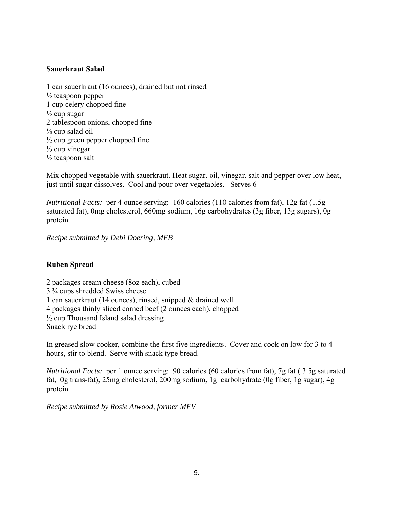#### **Sauerkraut Salad**

1 can sauerkraut (16 ounces), drained but not rinsed  $\frac{1}{2}$  teaspoon pepper 1 cup celery chopped fine  $\frac{1}{2}$  cup sugar 2 tablespoon onions, chopped fine ⅓ cup salad oil  $\frac{1}{2}$  cup green pepper chopped fine ⅓ cup vinegar  $\frac{1}{2}$  teaspoon salt

Mix chopped vegetable with sauerkraut. Heat sugar, oil, vinegar, salt and pepper over low heat, just until sugar dissolves. Cool and pour over vegetables. Serves 6

*Nutritional Facts:* per 4 ounce serving: 160 calories (110 calories from fat), 12g fat (1.5g saturated fat), 0mg cholesterol, 660mg sodium, 16g carbohydrates (3g fiber, 13g sugars), 0g protein.

*Recipe submitted by Debi Doering, MFB* 

#### **Ruben Spread**

2 packages cream cheese (8oz each), cubed 3 ¾ cups shredded Swiss cheese 1 can sauerkraut (14 ounces), rinsed, snipped & drained well 4 packages thinly sliced corned beef (2 ounces each), chopped ½ cup Thousand Island salad dressing Snack rye bread

In greased slow cooker, combine the first five ingredients. Cover and cook on low for 3 to 4 hours, stir to blend. Serve with snack type bread.

*Nutritional Facts:* per 1 ounce serving: 90 calories (60 calories from fat), 7g fat ( 3.5g saturated fat, 0g trans-fat), 25mg cholesterol, 200mg sodium, 1g carbohydrate (0g fiber, 1g sugar), 4g protein

*Recipe submitted by Rosie Atwood, former MFV*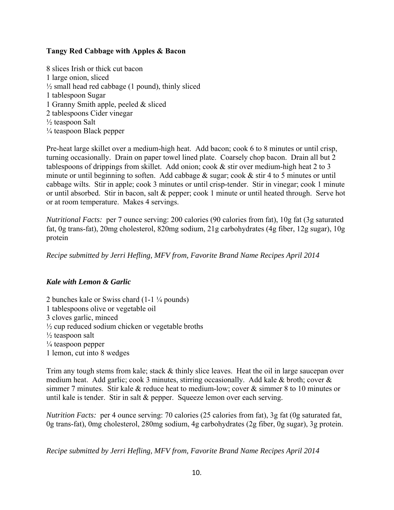#### **Tangy Red Cabbage with Apples & Bacon**

8 slices Irish or thick cut bacon 1 large onion, sliced  $\frac{1}{2}$  small head red cabbage (1 pound), thinly sliced 1 tablespoon Sugar 1 Granny Smith apple, peeled & sliced 2 tablespoons Cider vinegar ½ teaspoon Salt ¼ teaspoon Black pepper

Pre-heat large skillet over a medium-high heat. Add bacon; cook 6 to 8 minutes or until crisp, turning occasionally. Drain on paper towel lined plate. Coarsely chop bacon. Drain all but 2 tablespoons of drippings from skillet. Add onion; cook & stir over medium-high heat 2 to 3 minute or until beginning to soften. Add cabbage & sugar; cook & stir 4 to 5 minutes or until cabbage wilts. Stir in apple; cook 3 minutes or until crisp-tender. Stir in vinegar; cook 1 minute or until absorbed. Stir in bacon, salt & pepper; cook 1 minute or until heated through. Serve hot or at room temperature. Makes 4 servings.

*Nutritional Facts:* per 7 ounce serving: 200 calories (90 calories from fat), 10g fat (3g saturated fat, 0g trans-fat), 20mg cholesterol, 820mg sodium, 21g carbohydrates (4g fiber, 12g sugar), 10g protein

*Recipe submitted by Jerri Hefling, MFV from, Favorite Brand Name Recipes April 2014* 

#### *Kale with Lemon & Garlic*

2 bunches kale or Swiss chard (1-1 ¼ pounds) 1 tablespoons olive or vegetable oil 3 cloves garlic, minced ½ cup reduced sodium chicken or vegetable broths ½ teaspoon salt  $\frac{1}{4}$  teaspoon pepper 1 lemon, cut into 8 wedges

Trim any tough stems from kale; stack & thinly slice leaves. Heat the oil in large saucepan over medium heat. Add garlic; cook 3 minutes, stirring occasionally. Add kale & broth; cover & simmer 7 minutes. Stir kale & reduce heat to medium-low; cover & simmer 8 to 10 minutes or until kale is tender. Stir in salt & pepper. Squeeze lemon over each serving.

*Nutrition Facts:* per 4 ounce serving: 70 calories (25 calories from fat), 3g fat (0g saturated fat, 0g trans-fat), 0mg cholesterol, 280mg sodium, 4g carbohydrates (2g fiber, 0g sugar), 3g protein.

*Recipe submitted by Jerri Hefling, MFV from, Favorite Brand Name Recipes April 2014*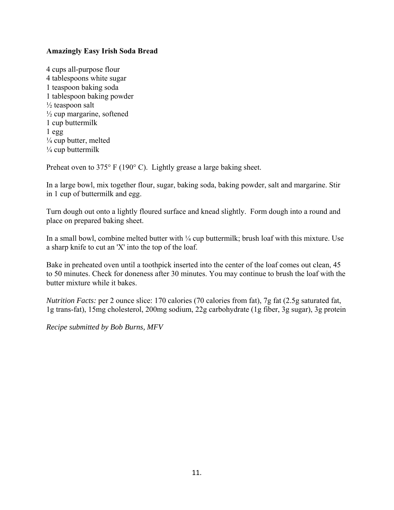#### **Amazingly Easy Irish Soda Bread**

4 cups all-purpose flour 4 tablespoons white sugar 1 teaspoon baking soda 1 tablespoon baking powder  $\frac{1}{2}$  teaspoon salt  $\frac{1}{2}$  cup margarine, softened 1 cup buttermilk 1 egg  $\frac{1}{4}$  cup butter, melted  $\frac{1}{4}$  cup buttermilk

Preheat oven to 375° F (190° C). Lightly grease a large baking sheet.

In a large bowl, mix together flour, sugar, baking soda, baking powder, salt and margarine. Stir in 1 cup of buttermilk and egg.

Turn dough out onto a lightly floured surface and knead slightly. Form dough into a round and place on prepared baking sheet.

In a small bowl, combine melted butter with ¼ cup buttermilk; brush loaf with this mixture. Use a sharp knife to cut an 'X' into the top of the loaf.

Bake in preheated oven until a toothpick inserted into the center of the loaf comes out clean, 45 to 50 minutes. Check for doneness after 30 minutes. You may continue to brush the loaf with the butter mixture while it bakes.

*Nutrition Facts:* per 2 ounce slice: 170 calories (70 calories from fat), 7g fat (2.5g saturated fat, 1g trans-fat), 15mg cholesterol, 200mg sodium, 22g carbohydrate (1g fiber, 3g sugar), 3g protein

*Recipe submitted by Bob Burns, MFV*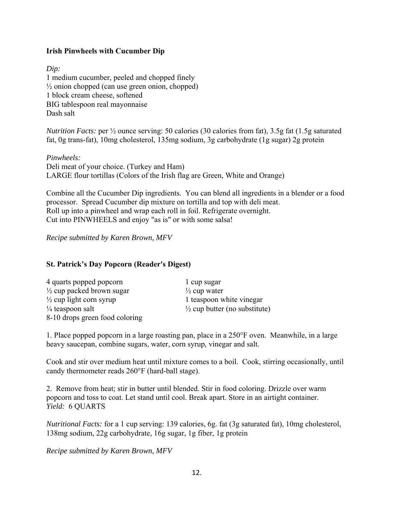#### **Irish Pinwheels with Cucumber Dip**

#### *Dip:*

1 medium cucumber, peeled and chopped finely  $\frac{1}{2}$  onion chopped (can use green onion, chopped) 1 block cream cheese, softened BIG tablespoon real mayonnaise Dash salt

*Nutrition Facts:* per ½ ounce serving: 50 calories (30 calories from fat), 3.5g fat (1.5g saturated fat, 0g trans-fat), 10mg cholesterol, 135mg sodium, 3g carbohydrate (1g sugar) 2g protein

*Pinwheels:*  Deli meat of your choice. (Turkey and Ham) LARGE flour tortillas (Colors of the Irish flag are Green, White and Orange)

Combine all the Cucumber Dip ingredients. You can blend all ingredients in a blender or a food processor. Spread Cucumber dip mixture on tortilla and top with deli meat. Roll up into a pinwheel and wrap each roll in foil. Refrigerate overnight. Cut into PINWHEELS and enjoy "as is" or with some salsa!

*Recipe submitted by Karen Brown, MFV* 

#### **St. Patrick's Day Popcorn (Reader's Digest)**

| 4 quarts popped popcorn              | 1 cup sugar                              |
|--------------------------------------|------------------------------------------|
| $\frac{1}{2}$ cup packed brown sugar | $\frac{1}{2}$ cup water                  |
| $\frac{1}{2}$ cup light corn syrup   | 1 teaspoon white vinegar                 |
| $\frac{1}{4}$ teaspoon salt          | $\frac{1}{2}$ cup butter (no substitute) |
| 8-10 drops green food coloring       |                                          |

1. Place popped popcorn in a large roasting pan, place in a 250°F oven. Meanwhile, in a large heavy saucepan, combine sugars, water, corn syrup, vinegar and salt.

Cook and stir over medium heat until mixture comes to a boil. Cook, stirring occasionally, until candy thermometer reads 260°F (hard-ball stage).

2. Remove from heat; stir in butter until blended. Stir in food coloring. Drizzle over warm popcorn and toss to coat. Let stand until cool. Break apart. Store in an airtight container. *Yield:* 6 QUARTS

*Nutritional Facts:* for a 1 cup serving: 139 calories, 6g. fat (3g saturated fat), 10mg cholesterol, 138mg sodium, 22g carbohydrate, 16g sugar, 1g fiber, 1g protein

*Recipe submitted by Karen Brown, MFV*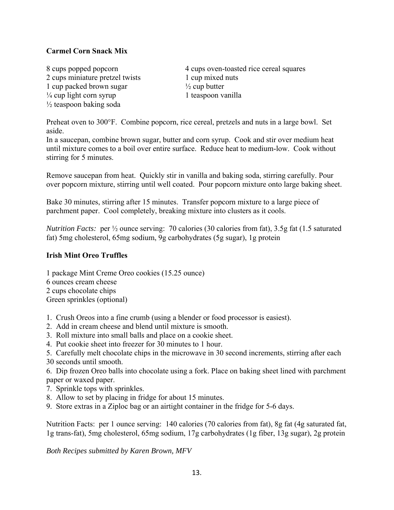#### **Carmel Corn Snack Mix**

2 cups miniature pretzel twists 1 cup mixed nuts 1 cup packed brown sugar  $\frac{1}{2}$  cup butter  $\frac{1}{4}$  cup light corn syrup 1 teaspoon vanilla ½ teaspoon baking soda

8 cups popped popcorn 4 cups oven-toasted rice cereal squares

Preheat oven to 300°F. Combine popcorn, rice cereal, pretzels and nuts in a large bowl. Set aside.

In a saucepan, combine brown sugar, butter and corn syrup. Cook and stir over medium heat until mixture comes to a boil over entire surface. Reduce heat to medium-low. Cook without stirring for 5 minutes.

Remove saucepan from heat. Quickly stir in vanilla and baking soda, stirring carefully. Pour over popcorn mixture, stirring until well coated. Pour popcorn mixture onto large baking sheet.

Bake 30 minutes, stirring after 15 minutes. Transfer popcorn mixture to a large piece of parchment paper. Cool completely, breaking mixture into clusters as it cools.

*Nutrition Facts:* per ½ ounce serving: 70 calories (30 calories from fat), 3.5g fat (1.5 saturated fat) 5mg cholesterol, 65mg sodium, 9g carbohydrates (5g sugar), 1g protein

#### **Irish Mint Oreo Truffles**

1 package Mint Creme Oreo cookies (15.25 ounce) 6 ounces cream cheese 2 cups chocolate chips Green sprinkles (optional)

- 1. Crush Oreos into a fine crumb (using a blender or food processor is easiest).
- 2. Add in cream cheese and blend until mixture is smooth.
- 3. Roll mixture into small balls and place on a cookie sheet.
- 4. Put cookie sheet into freezer for 30 minutes to 1 hour.

5. Carefully melt chocolate chips in the microwave in 30 second increments, stirring after each 30 seconds until smooth.

6. Dip frozen Oreo balls into chocolate using a fork. Place on baking sheet lined with parchment paper or waxed paper.

- 7. Sprinkle tops with sprinkles.
- 8. Allow to set by placing in fridge for about 15 minutes.
- 9. Store extras in a Ziploc bag or an airtight container in the fridge for 5-6 days.

Nutrition Facts: per 1 ounce serving: 140 calories (70 calories from fat), 8g fat (4g saturated fat, 1g trans-fat), 5mg cholesterol, 65mg sodium, 17g carbohydrates (1g fiber, 13g sugar), 2g protein

*Both Recipes submitted by Karen Brown, MFV*